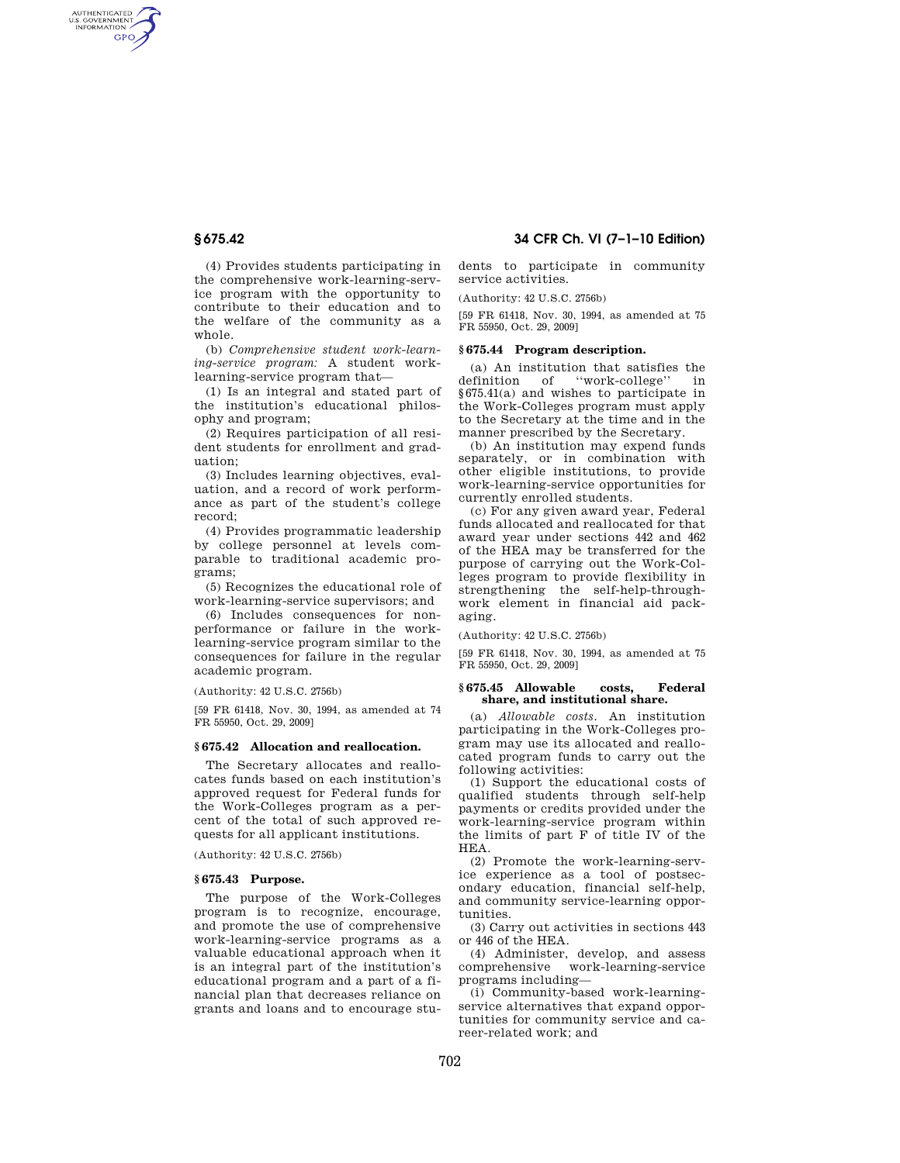AUTHENTICATED<br>U.S. GOVERNMENT<br>INFORMATION **GPO** 

> (4) Provides students participating in the comprehensive work-learning-service program with the opportunity to contribute to their education and to the welfare of the community as a whole.

(b) *Comprehensive student work-learning-service program:* A student worklearning-service program that—

(1) Is an integral and stated part of the institution's educational philosophy and program;

(2) Requires participation of all resident students for enrollment and graduation;

(3) Includes learning objectives, evaluation, and a record of work performance as part of the student's college record;

(4) Provides programmatic leadership by college personnel at levels comparable to traditional academic programs;

(5) Recognizes the educational role of work-learning-service supervisors; and

(6) Includes consequences for nonperformance or failure in the worklearning-service program similar to the consequences for failure in the regular academic program.

(Authority: 42 U.S.C. 2756b)

[59 FR 61418, Nov. 30, 1994, as amended at 74 FR 55950, Oct. 29, 2009]

#### **§ 675.42 Allocation and reallocation.**

The Secretary allocates and reallocates funds based on each institution's approved request for Federal funds for the Work-Colleges program as a percent of the total of such approved requests for all applicant institutions.

(Authority: 42 U.S.C. 2756b)

#### **§ 675.43 Purpose.**

The purpose of the Work-Colleges program is to recognize, encourage, and promote the use of comprehensive work-learning-service programs as a valuable educational approach when it is an integral part of the institution's educational program and a part of a financial plan that decreases reliance on grants and loans and to encourage stu-

**§ 675.42 34 CFR Ch. VI (7–1–10 Edition)** 

dents to participate in community service activities.

(Authority: 42 U.S.C. 2756b)

[59 FR 61418, Nov. 30, 1994, as amended at 75 FR 55950, Oct. 29, 2009]

# **§ 675.44 Program description.**

(a) An institution that satisfies the definition of "work-college" in ''work-college'' in §675.41(a) and wishes to participate in the Work-Colleges program must apply to the Secretary at the time and in the manner prescribed by the Secretary.

(b) An institution may expend funds separately, or in combination with other eligible institutions, to provide work-learning-service opportunities for currently enrolled students.

(c) For any given award year, Federal funds allocated and reallocated for that award year under sections 442 and 462 of the HEA may be transferred for the purpose of carrying out the Work-Colleges program to provide flexibility in strengthening the self-help-throughwork element in financial aid packaging.

(Authority: 42 U.S.C. 2756b)

[59 FR 61418, Nov. 30, 1994, as amended at 75 FR 55950, Oct. 29, 2009]

#### **§ 675.45 Allowable costs, Federal share, and institutional share.**

(a) *Allowable costs.* An institution participating in the Work-Colleges program may use its allocated and reallocated program funds to carry out the following activities:

(1) Support the educational costs of qualified students through self-help payments or credits provided under the work-learning-service program within the limits of part F of title IV of the HEA.

(2) Promote the work-learning-service experience as a tool of postsecondary education, financial self-help, and community service-learning opportunities.

(3) Carry out activities in sections 443 or 446 of the HEA.

(4) Administer, develop, and assess comprehensive work-learning-service programs including—

(i) Community-based work-learningservice alternatives that expand opportunities for community service and career-related work; and